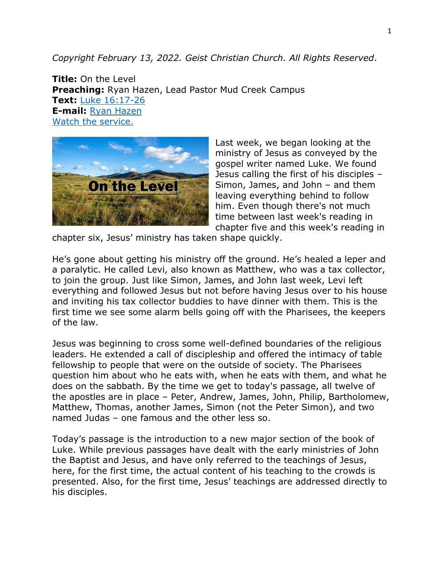*Copyright February 13, 2022. Geist Christian Church. All Rights Reserved*.

**Title:** On the Level **Preaching:** Ryan Hazen, Lead Pastor Mud Creek Campus **Text:** [Luke 16:17-26](https://www.biblegateway.com/passage/?search=Luke+16%3A17-26&version=NRSV) **E-mail:** [Ryan Hazen](mailto:ryan.hazen@geistchristian.org) [Watch the service.](https://youtu.be/OsNXuuziJ_8)



Last week, we began looking at the ministry of Jesus as conveyed by the gospel writer named Luke. We found Jesus calling the first of his disciples – Simon, James, and John – and them leaving everything behind to follow him. Even though there's not much time between last week's reading in chapter five and this week's reading in

chapter six, Jesus' ministry has taken shape quickly.

He's gone about getting his ministry off the ground. He's healed a leper and a paralytic. He called Levi, also known as Matthew, who was a tax collector, to join the group. Just like Simon, James, and John last week, Levi left everything and followed Jesus but not before having Jesus over to his house and inviting his tax collector buddies to have dinner with them. This is the first time we see some alarm bells going off with the Pharisees, the keepers of the law.

Jesus was beginning to cross some well-defined boundaries of the religious leaders. He extended a call of discipleship and offered the intimacy of table fellowship to people that were on the outside of society. The Pharisees question him about who he eats with, when he eats with them, and what he does on the sabbath. By the time we get to today's passage, all twelve of the apostles are in place – Peter, Andrew, James, John, Philip, Bartholomew, Matthew, Thomas, another James, Simon (not the Peter Simon), and two named Judas – one famous and the other less so.

Today's passage is the introduction to a new major section of the book of Luke. While previous passages have dealt with the early ministries of John the Baptist and Jesus, and have only referred to the teachings of Jesus, here, for the first time, the actual content of his teaching to the crowds is presented. Also, for the first time, Jesus' teachings are addressed directly to his disciples.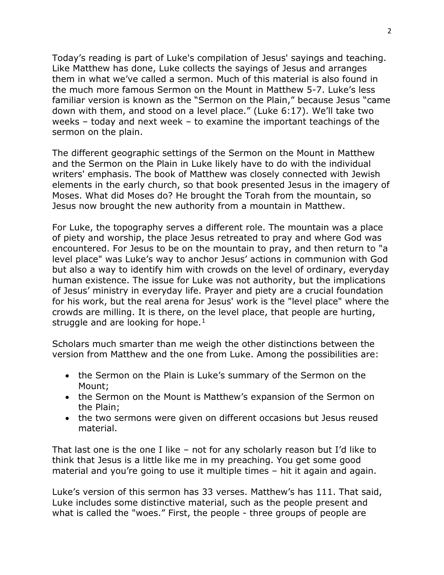Today's reading is part of Luke's compilation of Jesus' sayings and teaching. Like Matthew has done, Luke collects the sayings of Jesus and arranges them in what we've called a sermon. Much of this material is also found in the much more famous Sermon on the Mount in Matthew 5-7. Luke's less familiar version is known as the "Sermon on the Plain," because Jesus "came down with them, and stood on a level place." (Luke 6:17). We'll take two weeks – today and next week – to examine the important teachings of the sermon on the plain.

The different geographic settings of the Sermon on the Mount in Matthew and the Sermon on the Plain in Luke likely have to do with the individual writers' emphasis. The book of Matthew was closely connected with Jewish elements in the early church, so that book presented Jesus in the imagery of Moses. What did Moses do? He brought the Torah from the mountain, so Jesus now brought the new authority from a mountain in Matthew.

For Luke, the topography serves a different role. The mountain was a place of piety and worship, the place Jesus retreated to pray and where God was encountered. For Jesus to be on the mountain to pray, and then return to "a level place" was Luke's way to anchor Jesus' actions in communion with God but also a way to identify him with crowds on the level of ordinary, everyday human existence. The issue for Luke was not authority, but the implications of Jesus' ministry in everyday life. Prayer and piety are a crucial foundation for his work, but the real arena for Jesus' work is the "level place" where the crowds are milling. It is there, on the level place, that people are hurting, struggle and are looking for hope.<sup>[1](#page-4-0)</sup>

Scholars much smarter than me weigh the other distinctions between the version from Matthew and the one from Luke. Among the possibilities are:

- the Sermon on the Plain is Luke's summary of the Sermon on the Mount;
- the Sermon on the Mount is Matthew's expansion of the Sermon on the Plain;
- the two sermons were given on different occasions but Jesus reused material.

That last one is the one I like – not for any scholarly reason but I'd like to think that Jesus is a little like me in my preaching. You get some good material and you're going to use it multiple times – hit it again and again.

Luke's version of this sermon has 33 verses. Matthew's has 111. That said, Luke includes some distinctive material, such as the people present and what is called the "woes." First, the people - three groups of people are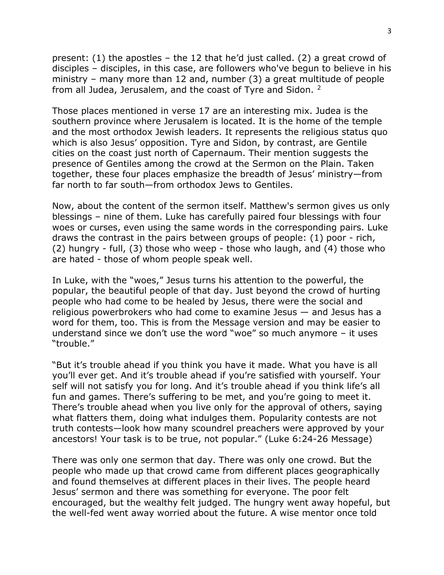present: (1) the apostles – the 12 that he'd just called. (2) a great crowd of disciples – disciples, in this case, are followers who've begun to believe in his ministry – many more than 12 and, number (3) a great multitude of people from all Judea, Jerusalem, and the coast of Tyre and Sidon. <sup>[2](#page-4-1)</sup>

Those places mentioned in verse 17 are an interesting mix. Judea is the southern province where Jerusalem is located. It is the home of the temple and the most orthodox Jewish leaders. It represents the religious status quo which is also Jesus' opposition. Tyre and Sidon, by contrast, are Gentile cities on the coast just north of Capernaum. Their mention suggests the presence of Gentiles among the crowd at the Sermon on the Plain. Taken together, these four places emphasize the breadth of Jesus' ministry—from far north to far south—from orthodox Jews to Gentiles.

Now, about the content of the sermon itself. Matthew's sermon gives us only blessings – nine of them. Luke has carefully paired four blessings with four woes or curses, even using the same words in the corresponding pairs. Luke draws the contrast in the pairs between groups of people: (1) poor - rich, (2) hungry - full, (3) those who weep - those who laugh, and (4) those who are hated - those of whom people speak well.

In Luke, with the "woes," Jesus turns his attention to the powerful, the popular, the beautiful people of that day. Just beyond the crowd of hurting people who had come to be healed by Jesus, there were the social and religious powerbrokers who had come to examine Jesus — and Jesus has a word for them, too. This is from the Message version and may be easier to understand since we don't use the word "woe" so much anymore – it uses "trouble."

"But it's trouble ahead if you think you have it made. What you have is all you'll ever get. And it's trouble ahead if you're satisfied with yourself. Your self will not satisfy you for long. And it's trouble ahead if you think life's all fun and games. There's suffering to be met, and you're going to meet it. There's trouble ahead when you live only for the approval of others, saying what flatters them, doing what indulges them. Popularity contests are not truth contests—look how many scoundrel preachers were approved by your ancestors! Your task is to be true, not popular." (Luke 6:24-26 Message)

There was only one sermon that day. There was only one crowd. But the people who made up that crowd came from different places geographically and found themselves at different places in their lives. The people heard Jesus' sermon and there was something for everyone. The poor felt encouraged, but the wealthy felt judged. The hungry went away hopeful, but the well-fed went away worried about the future. A wise mentor once told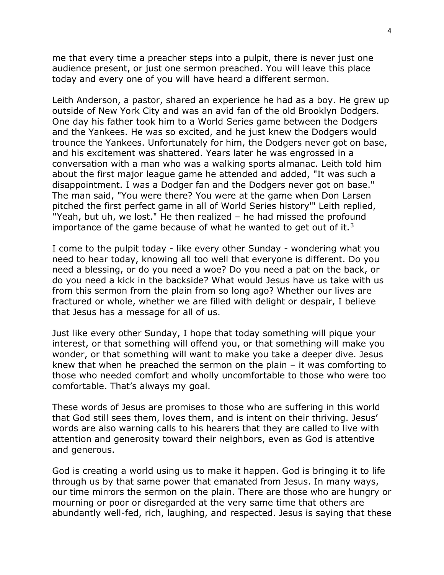me that every time a preacher steps into a pulpit, there is never just one audience present, or just one sermon preached. You will leave this place today and every one of you will have heard a different sermon.

Leith Anderson, a pastor, shared an experience he had as a boy. He grew up outside of New York City and was an avid fan of the old Brooklyn Dodgers. One day his father took him to a World Series game between the Dodgers and the Yankees. He was so excited, and he just knew the Dodgers would trounce the Yankees. Unfortunately for him, the Dodgers never got on base, and his excitement was shattered. Years later he was engrossed in a conversation with a man who was a walking sports almanac. Leith told him about the first major league game he attended and added, "It was such a disappointment. I was a Dodger fan and the Dodgers never got on base." The man said, "You were there? You were at the game when Don Larsen pitched the first perfect game in all of World Series history'" Leith replied, ''Yeah, but uh, we lost." He then realized – he had missed the profound importance of the game because of what he wanted to get out of it. $3$ 

I come to the pulpit today - like every other Sunday - wondering what you need to hear today, knowing all too well that everyone is different. Do you need a blessing, or do you need a woe? Do you need a pat on the back, or do you need a kick in the backside? What would Jesus have us take with us from this sermon from the plain from so long ago? Whether our lives are fractured or whole, whether we are filled with delight or despair, I believe that Jesus has a message for all of us.

Just like every other Sunday, I hope that today something will pique your interest, or that something will offend you, or that something will make you wonder, or that something will want to make you take a deeper dive. Jesus knew that when he preached the sermon on the plain – it was comforting to those who needed comfort and wholly uncomfortable to those who were too comfortable. That's always my goal.

These words of Jesus are promises to those who are suffering in this world that God still sees them, loves them, and is intent on their thriving. Jesus' words are also warning calls to his hearers that they are called to live with attention and generosity toward their neighbors, even as God is attentive and generous.

God is creating a world using us to make it happen. God is bringing it to life through us by that same power that emanated from Jesus. In many ways, our time mirrors the sermon on the plain. There are those who are hungry or mourning or poor or disregarded at the very same time that others are abundantly well-fed, rich, laughing, and respected. Jesus is saying that these